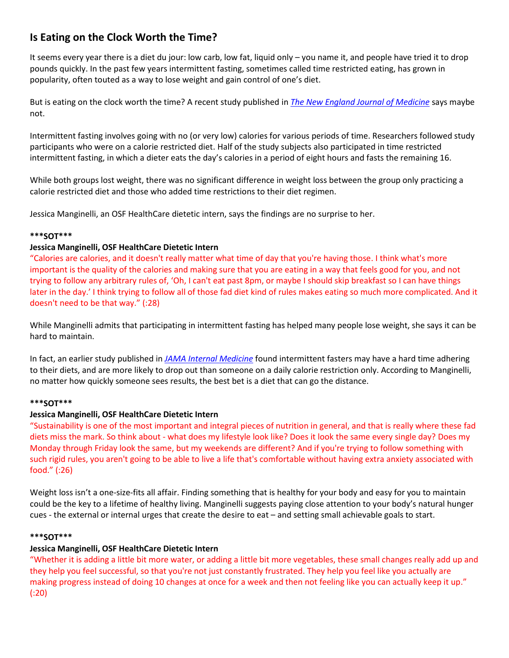# **Is Eating on the Clock Worth the Time?**

It seems every year there is a diet du jour: low carb, low fat, liquid only – you name it, and people have tried it to drop pounds quickly. In the past few years intermittent fasting, sometimes called time restricted eating, has grown in popularity, often touted as a way to lose weight and gain control of one's diet.

But is eating on the clock worth the time? A recent study published in *[The New England Journal of Medicine](https://www.nejm.org/doi/full/10.1056/NEJMoa2114833?query=featured_home)* says maybe not.

Intermittent fasting involves going with no (or very low) calories for various periods of time. Researchers followed study participants who were on a calorie restricted diet. Half of the study subjects also participated in time restricted intermittent fasting, in which a dieter eats the day's calories in a period of eight hours and fasts the remaining 16.

While both groups lost weight, there was no significant difference in weight loss between the group only practicing a calorie restricted diet and those who added time restrictions to their diet regimen.

Jessica Manginelli, an OSF HealthCare dietetic intern, says the findings are no surprise to her.

### **\*\*\*SOT\*\*\***

### **Jessica Manginelli, OSF HealthCare Dietetic Intern**

"Calories are calories, and it doesn't really matter what time of day that you're having those. I think what's more important is the quality of the calories and making sure that you are eating in a way that feels good for you, and not trying to follow any arbitrary rules of, 'Oh, I can't eat past 8pm, or maybe I should skip breakfast so I can have things later in the day.' I think trying to follow all of those fad diet kind of rules makes eating so much more complicated. And it doesn't need to be that way." (:28)

While Manginelli admits that participating in intermittent fasting has helped many people lose weight, she says it can be hard to maintain.

In fact, an earlier study published in *[JAMA Internal Medicine](https://jamanetwork.com/journals/jamainternalmedicine/article-abstract/2623528)* found intermittent fasters may have a hard time adhering to their diets, and are more likely to drop out than someone on a daily calorie restriction only. According to Manginelli, no matter how quickly someone sees results, the best bet is a diet that can go the distance.

### **\*\*\*SOT\*\*\***

# **Jessica Manginelli, OSF HealthCare Dietetic Intern**

"Sustainability is one of the most important and integral pieces of nutrition in general, and that is really where these fad diets miss the mark. So think about - what does my lifestyle look like? Does it look the same every single day? Does my Monday through Friday look the same, but my weekends are different? And if you're trying to follow something with such rigid rules, you aren't going to be able to live a life that's comfortable without having extra anxiety associated with food." (:26)

Weight loss isn't a one-size-fits all affair. Finding something that is healthy for your body and easy for you to maintain could be the key to a lifetime of healthy living. Manginelli suggests paying close attention to your body's natural hunger cues - the external or internal urges that create the desire to eat – and setting small achievable goals to start.

### **\*\*\*SOT\*\*\***

# **Jessica Manginelli, OSF HealthCare Dietetic Intern**

"Whether it is adding a little bit more water, or adding a little bit more vegetables, these small changes really add up and they help you feel successful, so that you're not just constantly frustrated. They help you feel like you actually are making progress instead of doing 10 changes at once for a week and then not feeling like you can actually keep it up." (:20)